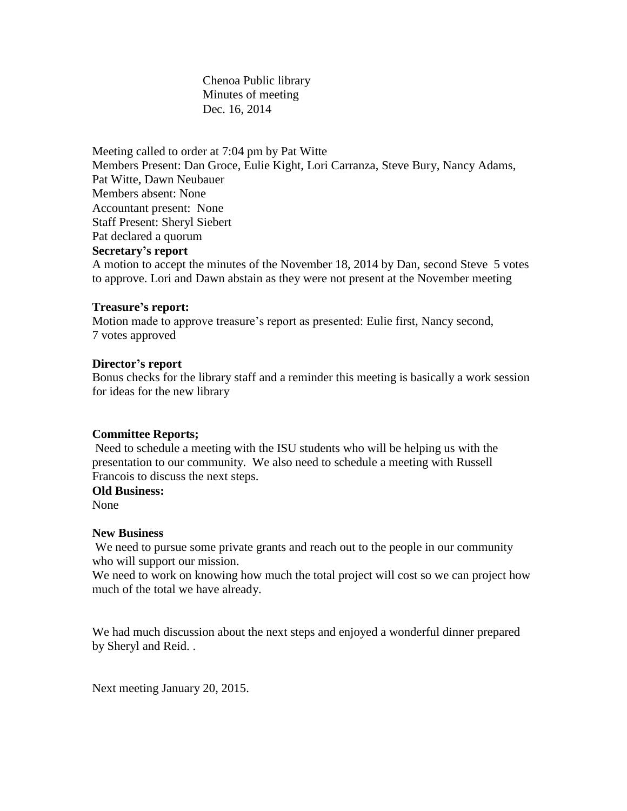Chenoa Public library Minutes of meeting Dec. 16, 2014

Meeting called to order at 7:04 pm by Pat Witte Members Present: Dan Groce, Eulie Kight, Lori Carranza, Steve Bury, Nancy Adams, Pat Witte, Dawn Neubauer Members absent: None Accountant present: None Staff Present: Sheryl Siebert Pat declared a quorum **Secretary's report** A motion to accept the minutes of the November 18, 2014 by Dan, second Steve 5 votes to approve. Lori and Dawn abstain as they were not present at the November meeting

## **Treasure's report:**

Motion made to approve treasure's report as presented: Eulie first, Nancy second, 7 votes approved

## **Director's report**

Bonus checks for the library staff and a reminder this meeting is basically a work session for ideas for the new library

## **Committee Reports;**

Need to schedule a meeting with the ISU students who will be helping us with the presentation to our community. We also need to schedule a meeting with Russell Francois to discuss the next steps.

# **Old Business:**

None

#### **New Business**

We need to pursue some private grants and reach out to the people in our community who will support our mission.

We need to work on knowing how much the total project will cost so we can project how much of the total we have already.

We had much discussion about the next steps and enjoyed a wonderful dinner prepared by Sheryl and Reid. .

Next meeting January 20, 2015.